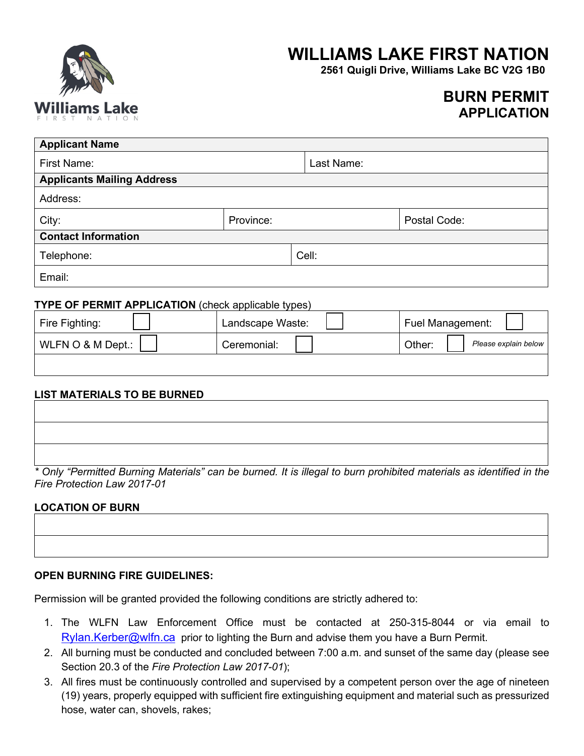

# **WILLIAMS LAKE FIRST NATION**

**2561 Quigli Drive, Williams Lake BC V2G 1B0**

# **BURN PERMIT APPLICATION**

| <b>Applicant Name</b>             |           |            |              |  |  |
|-----------------------------------|-----------|------------|--------------|--|--|
| First Name:                       |           | Last Name: |              |  |  |
| <b>Applicants Mailing Address</b> |           |            |              |  |  |
| Address:                          |           |            |              |  |  |
| City:                             | Province: |            | Postal Code: |  |  |
| <b>Contact Information</b>        |           |            |              |  |  |
| Telephone:                        |           | Cell:      |              |  |  |
| Email:                            |           |            |              |  |  |

### **TYPE OF PERMIT APPLICATION** (check applicable types)

| Fire Fighting:   | Landscape Waste: | <b>Fuel Management:</b>        |
|------------------|------------------|--------------------------------|
| WLFN O & M Dept. | Ceremonial:      | Other:<br>Please explain below |
|                  |                  |                                |

#### **LIST MATERIALS TO BE BURNED**

| * Only "Permitted Burning Materials" can be burned. It is illegal to burn prohibited materials as identified in the |
|---------------------------------------------------------------------------------------------------------------------|

*Fire Protection Law 2017-01*

# **LOCATION OF BURN**

#### **OPEN BURNING FIRE GUIDELINES:**

Permission will be granted provided the following conditions are strictly adhered to:

- 1. The WLFN Law Enforcement Office must be contacted at 250-315-8044 or via email to  $Rylan.Kerber@wlfn.ca$  prior to lighting the Burn and advise them you have a Burn Permit.
- 2. All burning must be conducted and concluded between 7:00 a.m. and sunset of the same day (please see Section 20.3 of the *Fire Protection Law 2017-01*);
- 3. All fires must be continuously controlled and supervised by a competent person over the age of nineteen (19) years, properly equipped with sufficient fire extinguishing equipment and material such as pressurized hose, water can, shovels, rakes;